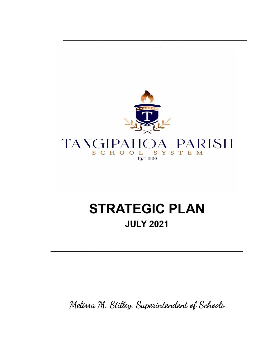

**\_\_\_\_\_\_\_\_\_\_\_\_\_\_\_\_\_\_\_\_\_\_\_\_\_\_\_\_\_\_\_\_\_\_\_\_\_\_\_\_\_\_\_\_\_\_\_\_\_\_\_\_\_\_\_\_\_\_\_\_\_\_\_\_\_\_\_\_**

# **STRATEGIC PLAN JULY 2021**

**\_\_\_\_\_\_\_\_\_\_\_\_\_\_\_\_\_\_\_\_\_\_\_\_\_\_\_\_\_\_\_\_\_\_\_\_\_\_\_**

**Melissa M. Stilley, Superintendent of Schools**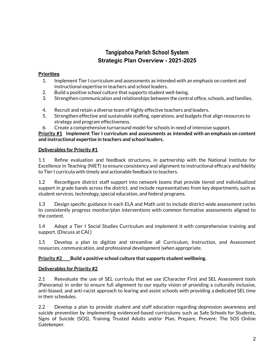## **Tangipahoa Parish School System Strategic Plan Overview - 2021-2025**

#### **Priorities**

- 1. Implement Tier I curriculum and assessments as intended with an emphasis on content and instructional expertise in teachers and school leaders.
- 2. Build a positive school culture that supports student well-being.
- 3. Strengthen communication and relationships between the central office, schools, and families.
- 4. Recruit and retain a diverse team of highly effective teachers and leaders.
- 5. Strengthen effective and sustainable staffing, operations, and budgets that align resources to strategy and program effectiveness.
- 6. Create a comprehensive turnaround model for schools in need of intensive support.

**Priority #1 Implement Tier I curriculum and assessments as intended with an emphasis on content and instructional expertise in teachers and school leaders.**

#### **Deliverables for Priority #1**

1.1 Refine evaluation and feedback structures, in partnership with the National Institute for Excellence in Teaching (NIET) to ensure consistency and alignment to instructional efficacy and fidelity to Tier I curricula with timely and actionable feedback to teachers.

1.2 Reconfigure district staff support into network teams that provide tiered and individualized support in grade bands across the district, and include representatives from key departments, such as student services, technology, special education, and federal programs.

1.3 Design specific guidance in each ELA and Math unit to include district-wide assessment cycles to consistently progress monitor/plan interventions with common formative assessments aligned to the content.

1.4 Adopt a Tier I Social Studies Curriculum and implement it with comprehensive training and support. (Discuss at CAI.)

1.5 Develop a plan to digitize and streamline all Curriculum, Instruction, and Assessment resources, communication, and professional development (when appropriate.

#### **Priority #2 Build a positive school culture that supports student wellbeing.**

#### **Deliverables for Priority #2**

2.1 Reevaluate the use of SEL curriculu that we use (Character First and SEL Assessment tools (Panorama) in order to ensure full alignment to our equity vision of providing a culturally inclusive, anti-biased, and anti-racist approach to learing and assist schools with providing a dedicated SEL time in their schedules.

2.2 Develop a plan to provide student and staff education regarding depression awareness and suicide prevention by implementing evidenced-based curriculums such as Safe Schools for Students, Signs of Suicide (SOS), Training Trusted Adults and/or Plan, Prepare, Prevent: The SOS Online Gatekeeper.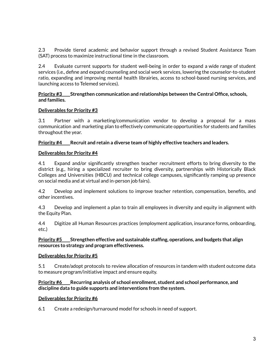2.3 Provide tiered academic and behavior support through a revised Student Assistance Team (SAT) process to maximize instructional time in the classroom.

2.4 Evaluate current supports for student well-being in order to expand a wide range of student services (i.e., define and expand counseling and social work services, lowering the counselor-to-student ratio, expanding and improving mental health librairies, access to school-based nursing services, and launching access to Telemed services).

#### **Priority #3 Strengthen communication and relationships between the Central Office, schools, and families.**

#### **Deliverables for Priority #3**

3.1 Partner with a marketing/communication vendor to develop a proposal for a mass communication and marketing plan to effectively communicate opportunities for students and families throughout the year.

#### **Priority #4 Recruit and retain a diverse team of highly effective teachers and leaders.**

#### **Deliverables for Priority #4**

4.1 Expand and/or significantly strengthen teacher recruitment efforts to bring diversity to the district (e.g., hiring a specialized recruiter to bring diversity, partnerships with Historically Black Colleges and Universities (HBCU) and technical college campuses, significantly ramping up presence on social media and at virtual and in-person job fairs).

4.2 Develop and implement solutions to improve teacher retention, compensation, benefits, and other incentives.

4.3 Develop and implement a plan to train all employees in diversity and equity in alignment with the Equity Plan.

4.4 Digitize all Human Resources practices (employment application, insurance forms, onboarding, etc.)

#### **Priority #5 Strengthen effective and sustainable staffing, operations, and budgets that align resources to strategy and program effectiveness.**

#### **Deliverables for Priority #5**

5.1 Create/adopt protocols to review allocation of resources in tandem with student outcome data to measure program/initiative impact and ensure equity.

#### **Priority #6 Recurring analysis of school enrollment, student and school performance, and discipline data to guide supports and interventions from the system.**

#### **Deliverables for Priority #6**

6.1 Create a redesign/turnaround model for schools in need of support.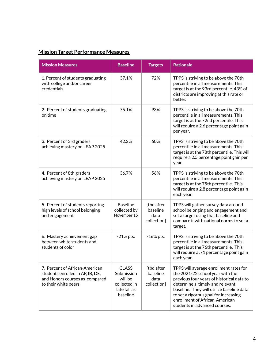# **Mission Target Performance Measures**

| <b>Mission Measures</b>                                                                                                      | <b>Baseline</b>                                                                   | <b>Targets</b>                                | <b>Rationale</b>                                                                                                                                                                                                                                                                                                    |
|------------------------------------------------------------------------------------------------------------------------------|-----------------------------------------------------------------------------------|-----------------------------------------------|---------------------------------------------------------------------------------------------------------------------------------------------------------------------------------------------------------------------------------------------------------------------------------------------------------------------|
| 1. Percent of students graduating<br>with college and/or career<br>credentials                                               | 37.1%                                                                             | 72%                                           | TPPS is striving to be above the 70th<br>percentile in all measurements. This<br>target is at the 93rd percentile. 43% of<br>districts are improving at this rate or<br>better.                                                                                                                                     |
| 2. Percent of students graduating<br>on time                                                                                 | 75.1%                                                                             | 93%                                           | TPPS is striving to be above the 70th<br>percentile in all measurements. This<br>target is at the 72nd percentile. This<br>will require a 2.6 percentage point gain<br>per year.                                                                                                                                    |
| 3. Percent of 3rd graders<br>achieving mastery on LEAP 2025                                                                  | 42.2%                                                                             | 60%                                           | TPPS is striving to be above the 70th<br>percentile in all measurements. This<br>target is at the 78th percentile. This will<br>require a 2.5 percentage point gain per<br>year.                                                                                                                                    |
| 4. Percent of 8th graders<br>achieving mastery on LEAP 2025                                                                  | 36.7%                                                                             | 56%                                           | TPPS is striving to be above the 70th<br>percentile in all measurements. This<br>target is at the 75th percentile. This<br>will require a 2.8 percentage point gain<br>each year.                                                                                                                                   |
| 5. Percent of students reporting<br>high levels of school belonging<br>and engagement                                        | <b>Baseline</b><br>collected by<br>November 15                                    | [tbd after<br>baseline<br>data<br>collection] | TPPS will gather survey data around<br>school belonging and engagement and<br>set a target using that baseline and<br>compare it with national norms to set a<br>target.                                                                                                                                            |
| 6. Mastery achievement gap<br>between white students and<br>students of color                                                | $-21\%$ pts.                                                                      | $-16\%$ pts.                                  | TPPS is striving to be above the 70th<br>percentile in all measurements. This<br>target is at the 76th percentile. This<br>will require a .71 percentage point gain<br>each year.                                                                                                                                   |
| 7. Percent of African-American<br>students enrolled in AP, IB, DE,<br>and Honors courses as compared<br>to their white peers | <b>CLASS</b><br>Submission<br>will be<br>collected in<br>late fall as<br>baseline | [tbd after<br>baseline<br>data<br>collection] | TPPS will average enrollment rates for<br>the 2021-22 school year with the<br>previous four years of historical data to<br>determine a timely and relevant<br>baseline. They will utilize baseline data<br>to set a rigorous goal for increasing<br>enrollment of African-American<br>students in advanced courses. |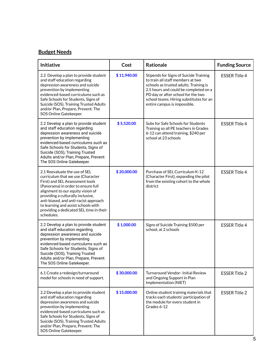### **Budget Needs**

| Initiative                                                                                                                                                                                                                                                                                                                                                     | Cost        | <b>Rationale</b>                                                                                                                                                                                                                                                                | <b>Funding Source</b> |
|----------------------------------------------------------------------------------------------------------------------------------------------------------------------------------------------------------------------------------------------------------------------------------------------------------------------------------------------------------------|-------------|---------------------------------------------------------------------------------------------------------------------------------------------------------------------------------------------------------------------------------------------------------------------------------|-----------------------|
| 2.2 Develop a plan to provide student<br>and staff education regarding<br>depression awareness and suicide<br>prevention by implementing<br>evidenced-based curriculums such as<br>Safe Schools for Students, Signs of<br>Suicide (SOS), Training Trusted Adults<br>and/or Plan, Prepare, Prevent: The<br>SOS Online Gatekeeper.                               | \$11,940.00 | Stipends for Signs of Suicide Training<br>to train all staff members at two<br>schools as trusted adults. Training is<br>2.5 hours and could be completed on a<br>PD day or after school for the two<br>school teams. Hiring substitutes for an<br>entire campus is impossible. | <b>ESSER Title 4</b>  |
| 2.2 Develop a plan to provide student<br>and staff education regarding<br>depression awareness and suicide<br>prevention by implementing<br>evidenced-based curriculums such as<br>Safe Schools for Students, Signs of<br>Suicide (SOS), Training Trusted<br>Adults and/or Plan, Prepare, Prevent:<br>The SOS Online Gatekeeper.                               | \$5,520.00  | Subs for Safe Schools for Students<br>Training so all PE teachers in Grades<br>6-12 can attend training, \$240 per<br>school at 23 schools                                                                                                                                      | <b>ESSER Title 4</b>  |
| 2.1 Reevaluate the use of SEL<br>curriculum that we use (Character<br>First) and SEL Assessment tools<br>(Panorama) in order to ensure full<br>alignment to our equity vision of<br>providing a culturally inclusive,<br>anti-biased, and anti-racist approach<br>to learning and assist schools with<br>providing a dedicated SEL time in their<br>schedules. | \$20,000.00 | Purchase of SEL Curriculum K-12<br>(Character First), expanding the pilot<br>from the existing cohort to the whole<br>district                                                                                                                                                  | <b>ESSER Title 4</b>  |
| 2.2 Develop a plan to provide student<br>and staff education regarding<br>depression awareness and suicide<br>prevention by implementing<br>evidenced-based curriculums such as<br>Safe Schools for Students, Signs of<br>Suicide (SOS), Training Trusted<br>Adults and/or Plan, Prepare, Prevent:<br>The SOS Online Gatekeeper.                               | \$1,000.00  | Signs of Suicide Training \$500 per<br>school, at 2 schools                                                                                                                                                                                                                     | <b>ESSER Title 4</b>  |
| 6.1 Create a redesign/turnaround<br>model for schools in need of support.                                                                                                                                                                                                                                                                                      | \$30,000.00 | Turnaround Vendor- Initial Review<br>and Ongoing Support in Plan<br>Implementation (NIET)                                                                                                                                                                                       | <b>ESSER Title 2</b>  |
| 2.2 Develop a plan to provide student<br>and staff education regarding<br>depression awareness and suicide<br>prevention by implementing<br>evidenced-based curriculums such as<br>Safe Schools for Students, Signs of<br>Suicide (SOS), Training Trusted Adults<br>and/or Plan, Prepare, Prevent: The<br>SOS Online Gatekeeper.                               | \$15,000.00 | Online student training materials that<br>tracks each students' participation of<br>the module for every student in<br>Grades 6-12                                                                                                                                              | <b>ESSER Title 2</b>  |